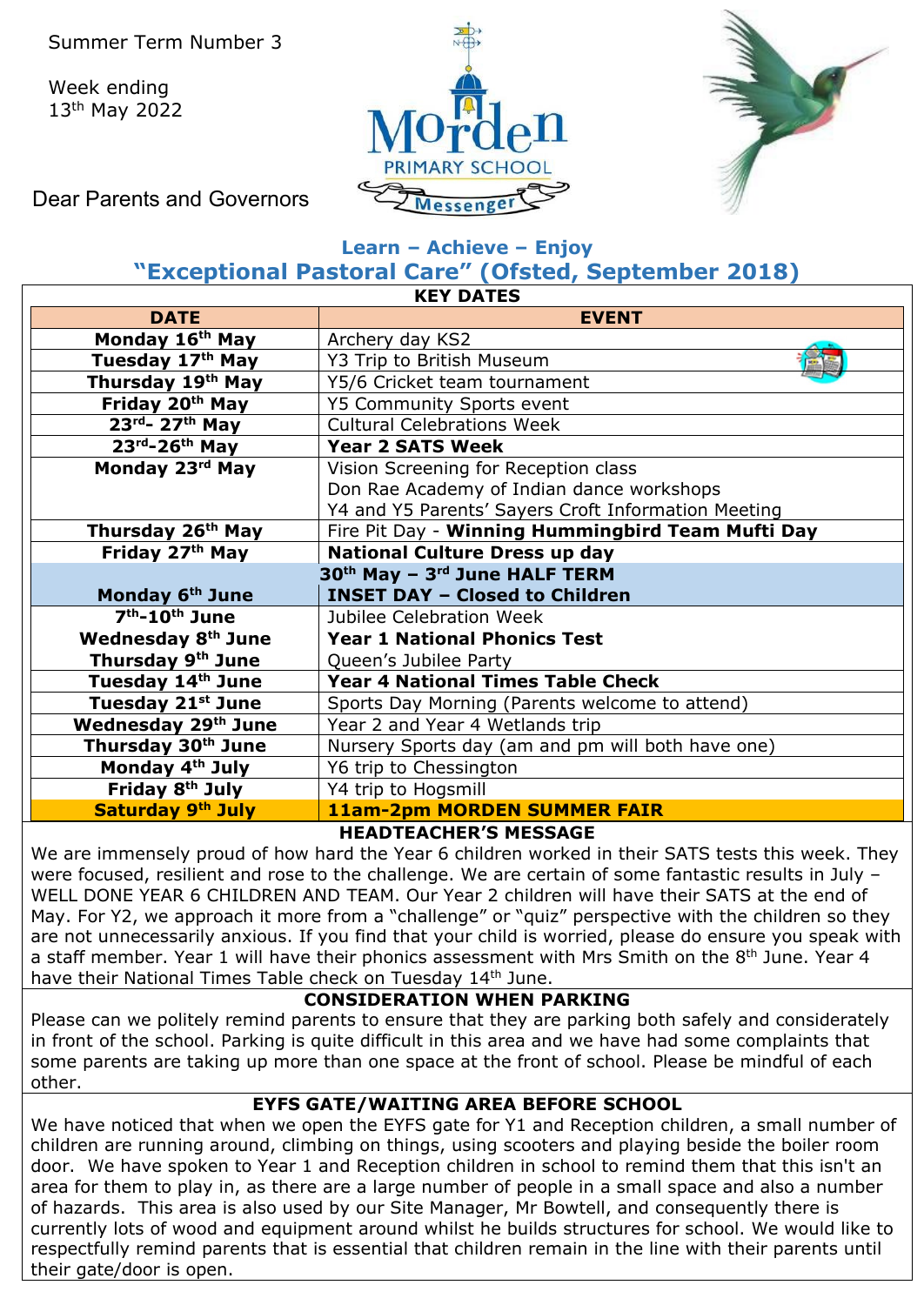Week ending 13th May 2022





Dear Parents and Governors

### **Learn – Achieve – Enjoy "Exceptional Pastoral Care" (Ofsted, September 2018)**

| <b>KEY DATES</b>                       |                                                       |  |  |  |
|----------------------------------------|-------------------------------------------------------|--|--|--|
| <b>DATE</b>                            | <b>EVENT</b>                                          |  |  |  |
| Monday 16th May                        | Archery day KS2                                       |  |  |  |
| Tuesday 17 <sup>th</sup> May           | Y3 Trip to British Museum                             |  |  |  |
| Thursday 19 <sup>th</sup> May          | Y5/6 Cricket team tournament                          |  |  |  |
| Friday 20th May                        | Y5 Community Sports event                             |  |  |  |
| $23rd - 27th$ May                      | <b>Cultural Celebrations Week</b>                     |  |  |  |
| $23rd - 26th$ May                      | <b>Year 2 SATS Week</b>                               |  |  |  |
| Monday 23rd May                        | Vision Screening for Reception class                  |  |  |  |
|                                        | Don Rae Academy of Indian dance workshops             |  |  |  |
|                                        | Y4 and Y5 Parents' Sayers Croft Information Meeting   |  |  |  |
| Thursday 26 <sup>th</sup> May          | Fire Pit Day - Winning Hummingbird Team Mufti Day     |  |  |  |
| Friday 27th May                        | <b>National Culture Dress up day</b>                  |  |  |  |
|                                        | 30 <sup>th</sup> May - 3 <sup>rd</sup> June HALF TERM |  |  |  |
| Monday 6 <sup>th</sup> June            | <b>INSET DAY - Closed to Children</b>                 |  |  |  |
| 7 <sup>th</sup> -10 <sup>th</sup> June | Jubilee Celebration Week                              |  |  |  |
| <b>Wednesday 8th June</b>              | <b>Year 1 National Phonics Test</b>                   |  |  |  |
| Thursday 9th June                      | Queen's Jubilee Party                                 |  |  |  |
| Tuesday 14th June                      | <b>Year 4 National Times Table Check</b>              |  |  |  |
| Tuesday 21st June                      | Sports Day Morning (Parents welcome to attend)        |  |  |  |
| Wednesday 29th June                    | Year 2 and Year 4 Wetlands trip                       |  |  |  |
| Thursday 30 <sup>th</sup> June         | Nursery Sports day (am and pm will both have one)     |  |  |  |
| Monday 4 <sup>th</sup> July            | Y6 trip to Chessington                                |  |  |  |
| Friday 8th July                        | Y4 trip to Hogsmill                                   |  |  |  |
| Saturday 9th July                      | <b>11am-2pm MORDEN SUMMER FAIR</b>                    |  |  |  |
| <b>HEADTEACHER'S MESSAGE</b>           |                                                       |  |  |  |

We are immensely proud of how hard the Year 6 children worked in their SATS tests this week. They were focused, resilient and rose to the challenge. We are certain of some fantastic results in July – WELL DONE YEAR 6 CHILDREN AND TEAM. Our Year 2 children will have their SATS at the end of May. For Y2, we approach it more from a "challenge" or "quiz" perspective with the children so they are not unnecessarily anxious. If you find that your child is worried, please do ensure you speak with a staff member. Year 1 will have their phonics assessment with Mrs Smith on the 8<sup>th</sup> June. Year 4 have their National Times Table check on Tuesday 14<sup>th</sup> June.

### **CONSIDERATION WHEN PARKING**

Please can we politely remind parents to ensure that they are parking both safely and considerately in front of the school. Parking is quite difficult in this area and we have had some complaints that some parents are taking up more than one space at the front of school. Please be mindful of each other.

### **EYFS GATE/WAITING AREA BEFORE SCHOOL**

We have noticed that when we open the EYFS gate for Y1 and Reception children, a small number of children are running around, climbing on things, using scooters and playing beside the boiler room door. We have spoken to Year 1 and Reception children in school to remind them that this isn't an area for them to play in, as there are a large number of people in a small space and also a number of hazards. This area is also used by our Site Manager, Mr Bowtell, and consequently there is currently lots of wood and equipment around whilst he builds structures for school. We would like to respectfully remind parents that is essential that children remain in the line with their parents until their gate/door is open.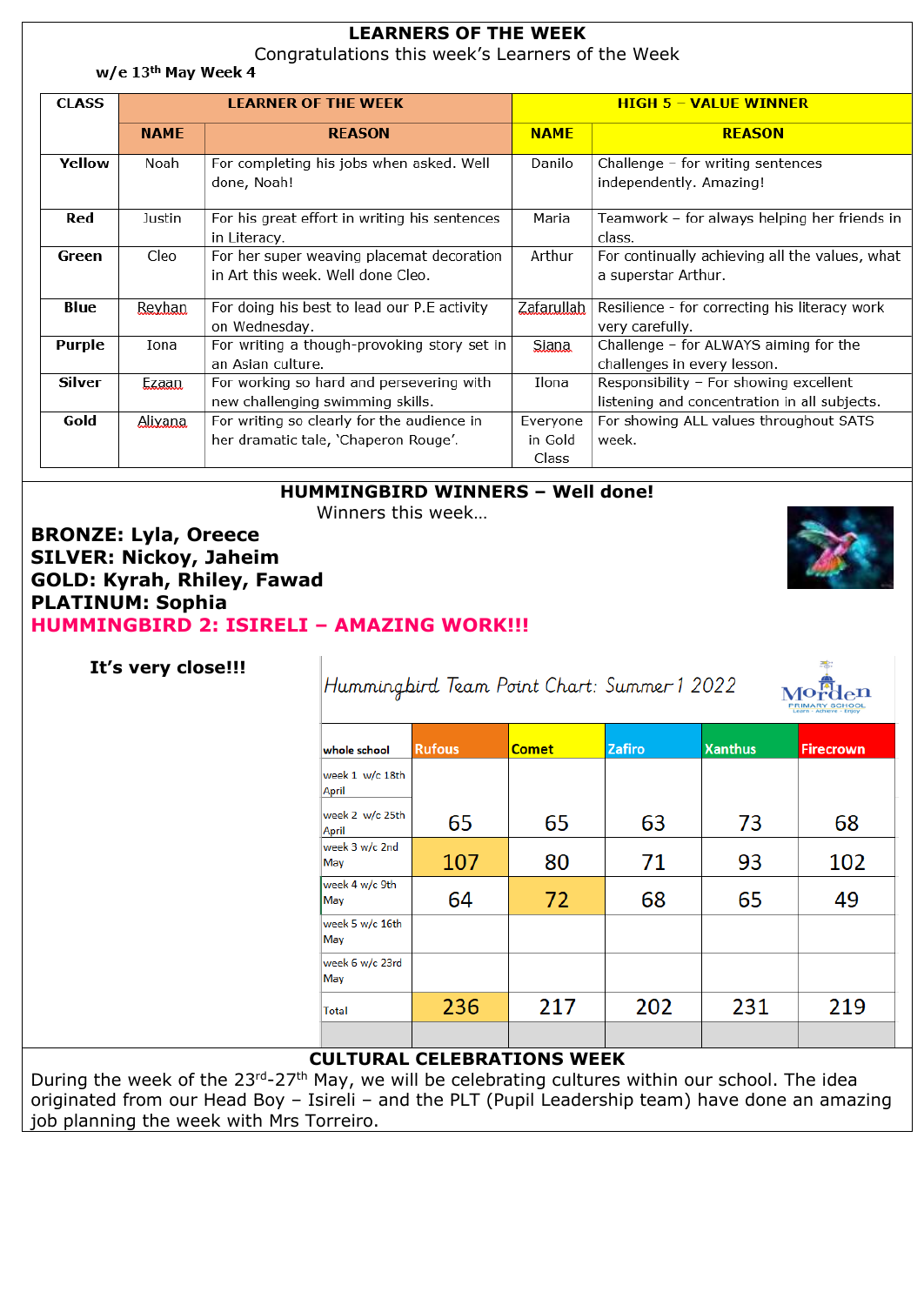|               | <b>LEARNERS OF THE WEEK</b><br>Congratulations this week's Learners of the Week<br>$w/e$ 13 <sup>th</sup> May Week 4 |                                                                                    |                                     |                                                                                        |  |  |  |  |
|---------------|----------------------------------------------------------------------------------------------------------------------|------------------------------------------------------------------------------------|-------------------------------------|----------------------------------------------------------------------------------------|--|--|--|--|
| <b>CLASS</b>  |                                                                                                                      | <b>LEARNER OF THE WEEK</b>                                                         | <b>HIGH 5 - VALUE WINNER</b>        |                                                                                        |  |  |  |  |
|               | <b>NAMF</b>                                                                                                          | <b>REASON</b>                                                                      | <b>NAMF</b>                         | <b>REASON</b>                                                                          |  |  |  |  |
| Yellow        | Noah                                                                                                                 | For completing his jobs when asked. Well<br>done, Noah!                            | Danilo                              | Challenge - for writing sentences<br>independently. Amazing!                           |  |  |  |  |
| Red           | Justin                                                                                                               | For his great effort in writing his sentences<br>in Literacy.                      | Maria                               | Teamwork - for always helping her friends in<br>class.                                 |  |  |  |  |
| Green         | Cleo                                                                                                                 | For her super weaving placemat decoration<br>in Art this week. Well done Cleo.     | Arthur                              | For continually achieving all the values, what<br>a superstar Arthur.                  |  |  |  |  |
| Blue          | Reyhan                                                                                                               | For doing his best to lead our P.E activity<br>on Wednesday.                       | Zafarullah                          | Resilience - for correcting his literacy work<br>very carefully.                       |  |  |  |  |
| Purple        | Iona                                                                                                                 | For writing a though-provoking story set in<br>an Asian culture.                   | <b>Siana</b>                        | Challenge - for ALWAYS aiming for the<br>challenges in every lesson.                   |  |  |  |  |
| <b>Silver</b> | Ezaan                                                                                                                | For working so hard and persevering with<br>new challenging swimming skills.       | Ilona                               | Responsibility - For showing excellent<br>listening and concentration in all subjects. |  |  |  |  |
| Gold          | Alixana                                                                                                              | For writing so clearly for the audience in<br>her dramatic tale, 'Chaperon Rouge'. | Everyone<br>in Gold<br><b>Class</b> | For showing ALL values throughout SATS<br>week.                                        |  |  |  |  |

### **HUMMINGBIRD WINNERS – Well done!**

Winners this week…

**BRONZE: Lyla, Oreece SILVER: Nickoy, Jaheim GOLD: Kyrah, Rhiley, Fawad PLATINUM: Sophia HUMMINGBIRD 2: ISIRELI – AMAZING WORK!!!**

#### **It's very close!!!**

Hummingbird Team Point Chart: Summer 1 2022

| <b>RIMARY SCHOOL</b><br>Learn - Achieve - Enloy |
|-------------------------------------------------|
|                                                 |

| whole school             | <b>Rufous</b> | <b>Comet</b> | <b>Zafiro</b> | <b>Xanthus</b> | <b>Firecrown</b> |
|--------------------------|---------------|--------------|---------------|----------------|------------------|
| week 1 w/c 18th<br>April |               |              |               |                |                  |
| week 2 w/c 25th<br>April | 65            | 65           | 63            | 73             | 68               |
| week 3 w/c 2nd<br>May    | 107           | 80           | 71            | 93             | 102              |
| week 4 w/c 9th<br>May    | 64            | 72           | 68            | 65             | 49               |
| week 5 w/c 16th<br>May   |               |              |               |                |                  |
| week 6 w/c 23rd<br>May   |               |              |               |                |                  |
| Total                    | 236           | 217          | 202           | 231            | 219              |
|                          |               |              |               |                |                  |

### **CULTURAL CELEBRATIONS WEEK**

During the week of the 23rd-27<sup>th</sup> May, we will be celebrating cultures within our school. The idea originated from our Head Boy – Isireli – and the PLT (Pupil Leadership team) have done an amazing job planning the week with Mrs Torreiro.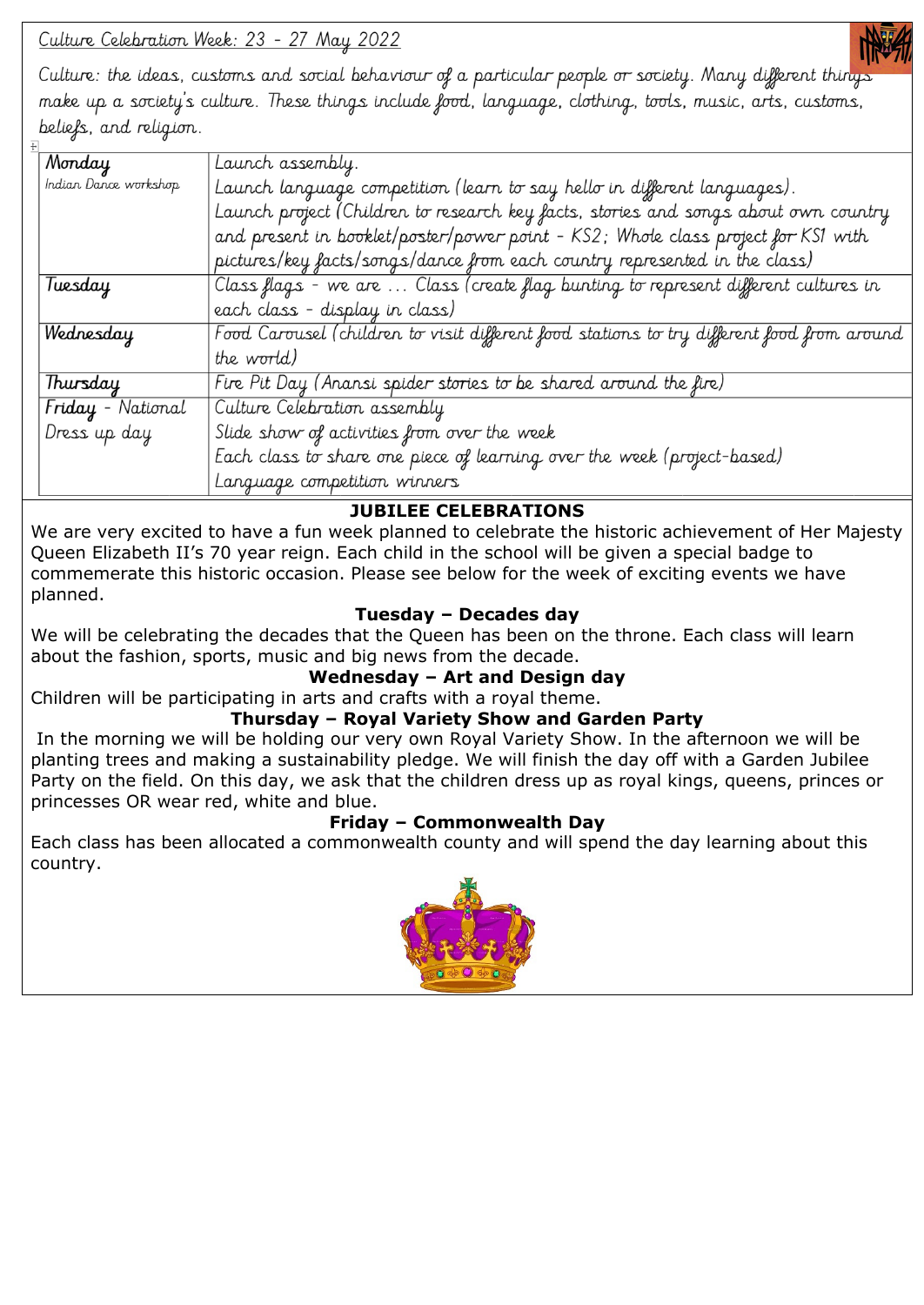Culture Celebration Week: 23 - 27 May 2022



Culture: the ideas, customs and social behaviour of a particular people or society. Many different thing make up a society's culture. These things include food, language, clothing, tools, music, arts, customs, beliefs, and religion.

| Monday                | Launch assembly.                                                                           |  |  |
|-----------------------|--------------------------------------------------------------------------------------------|--|--|
| Indian Dance workshop | Launch language competition (learn to say hello in different languages).                   |  |  |
|                       | Launch project (Children to research key facts, stories and songs about own country        |  |  |
|                       | and present in booklet/poster/power point - KS2; Whole class project for KS1 with          |  |  |
|                       | pictures/key facts/songs/dance from each country represented in the class)                 |  |  |
| Tuesday               | Class flags - we are  Class (create flag bunting to represent different cultures in        |  |  |
|                       | each class - display in class)                                                             |  |  |
| Wednesday             | Food Carousel (children to visit different food stations to try different food from around |  |  |
|                       | the world)                                                                                 |  |  |
| Thursday              | Fire Pit Day (Anansi spider stories to be shared around the fire)                          |  |  |
| Friday - National     | Culture Celebration assembly                                                               |  |  |
| Dress up day          | Slide show of activities from over the week                                                |  |  |
|                       | Each class to share one piece of learning over the week (project-based)                    |  |  |
|                       | Language competition winners                                                               |  |  |

## **JUBILEE CELEBRATIONS**

We are very excited to have a fun week planned to celebrate the historic achievement of Her Majesty Queen Elizabeth II's 70 year reign. Each child in the school will be given a special badge to commemerate this historic occasion. Please see below for the week of exciting events we have planned.

## **Tuesday – Decades day**

We will be celebrating the decades that the Queen has been on the throne. Each class will learn about the fashion, sports, music and big news from the decade.

### **Wednesday – Art and Design day**

Children will be participating in arts and crafts with a royal theme.

### **Thursday – Royal Variety Show and Garden Party**

In the morning we will be holding our very own Royal Variety Show. In the afternoon we will be planting trees and making a sustainability pledge. We will finish the day off with a Garden Jubilee Party on the field. On this day, we ask that the children dress up as royal kings, queens, princes or princesses OR wear red, white and blue.

### **Friday – Commonwealth Day**

Each class has been allocated a commonwealth county and will spend the day learning about this country.